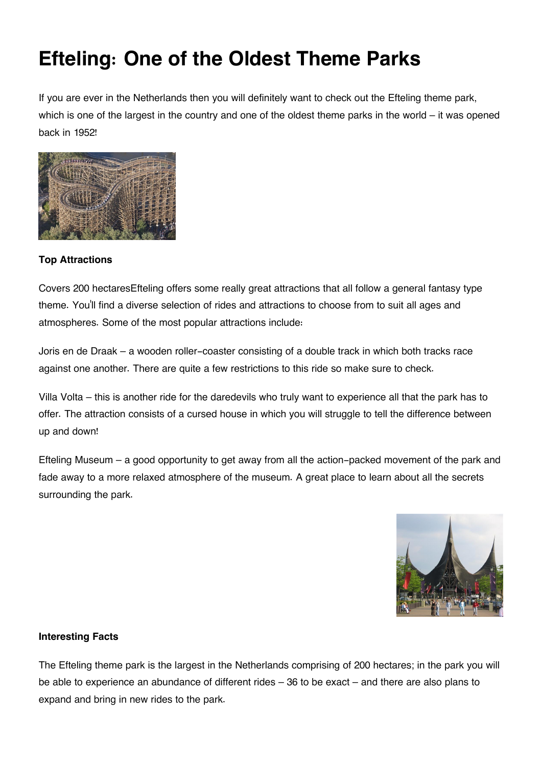## **Efteling: One of the Oldest Theme Parks**

If you are ever in the Netherlands then you will definitely want to check out the Efteling theme park, which is one of the largest in the country and one of the oldest theme parks in the world – it was opened back in 1952!



## **Top Attractions**

Covers 200 hectaresEfteling offers some really great attractions that all follow a general fantasy type theme. You'll find a diverse selection of rides and attractions to choose from to suit all ages and atmospheres. Some of the most popular attractions include:

Joris en de Draak – a wooden roller-coaster consisting of a double track in which both tracks race against one another. There are quite a few restrictions to this ride so make sure to check.

Villa Volta – this is another ride for the daredevils who truly want to experience all that the park has to offer. The attraction consists of a cursed house in which you will struggle to tell the difference between up and down!

Efteling Museum – a good opportunity to get away from all the action-packed movement of the park and fade away to a more relaxed atmosphere of the museum. A great place to learn about all the secrets surrounding the park.



## **Interesting Facts**

The Efteling theme park is the largest in the Netherlands comprising of 200 hectares; in the park you will be able to experience an abundance of different rides – 36 to be exact – and there are also plans to expand and bring in new rides to the park.